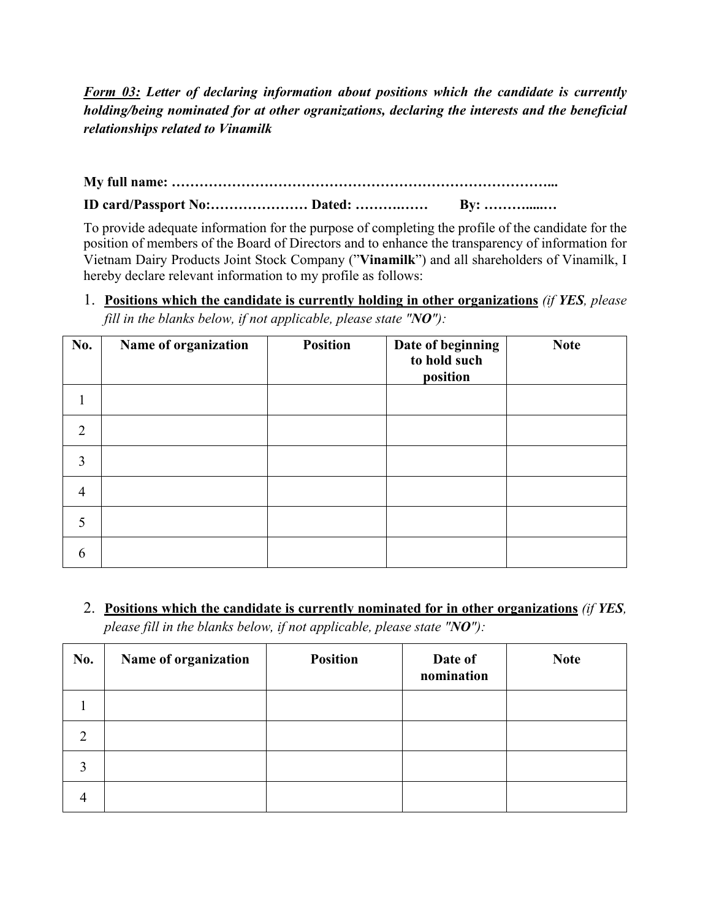*Form 03: Letter of declaring information about positions which the candidate is currently holding/being nominated for at other ogranizations, declaring the interests and the beneficial relationships related to Vinamilk*

**My full name: ………………………………………………………………………...**

**ID card/Passport No:………………… Dated: ……….…… By: ……….....…**

To provide adequate information for the purpose of completing the profile of the candidate for the position of members of the Board of Directors and to enhance the transparency of information for Vietnam Dairy Products Joint Stock Company ("**Vinamilk**") and all shareholders of Vinamilk, I hereby declare relevant information to my profile as follows:

1. **Positions which the candidate is currently holding in other organizations** *(if YES, please fill in the blanks below, if not applicable, please state "NO"):*

| <b>No.</b>     | Name of organization | <b>Position</b> | Date of beginning<br>to hold such<br>position | <b>Note</b> |
|----------------|----------------------|-----------------|-----------------------------------------------|-------------|
| 1              |                      |                 |                                               |             |
| $\overline{2}$ |                      |                 |                                               |             |
| 3              |                      |                 |                                               |             |
| $\overline{4}$ |                      |                 |                                               |             |
| 5              |                      |                 |                                               |             |
| 6              |                      |                 |                                               |             |

2. **Positions which the candidate is currently nominated for in other organizations** *(if YES, please fill in the blanks below, if not applicable, please state "NO"):*

| No. | Name of organization | <b>Position</b> | Date of<br>nomination | <b>Note</b> |
|-----|----------------------|-----------------|-----------------------|-------------|
|     |                      |                 |                       |             |
|     |                      |                 |                       |             |
| 3   |                      |                 |                       |             |
| 4   |                      |                 |                       |             |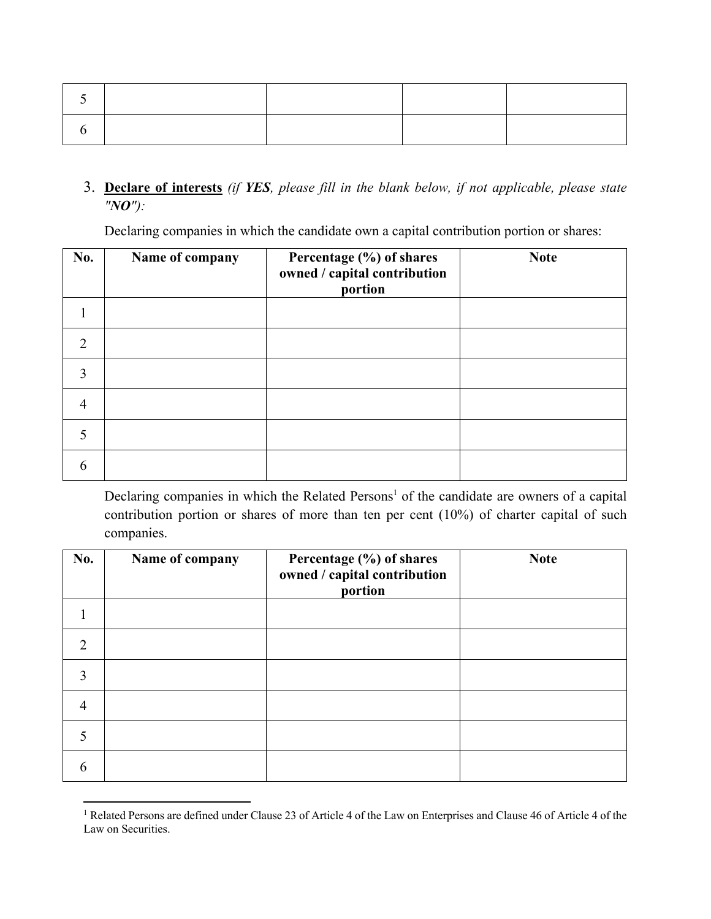3. **Declare of interests** *(if YES, please fill in the blank below, if not applicable, please state "NO"):*

Declaring companies in which the candidate own a capital contribution portion or shares:

| <b>No.</b>                  | Name of company | Percentage (%) of shares<br>owned / capital contribution<br>portion | <b>Note</b> |
|-----------------------------|-----------------|---------------------------------------------------------------------|-------------|
|                             |                 |                                                                     |             |
| $\mathcal{D}_{\mathcal{A}}$ |                 |                                                                     |             |
| 3                           |                 |                                                                     |             |
| 4                           |                 |                                                                     |             |
|                             |                 |                                                                     |             |
| 6                           |                 |                                                                     |             |

Declaring companies in which the Related Persons<sup>1</sup> of the candidate are owners of a capital contribution portion or shares of more than ten per cent (10%) of charter capital of such companies.

| No.            | Name of company | Percentage (%) of shares<br>owned / capital contribution<br>portion | <b>Note</b> |
|----------------|-----------------|---------------------------------------------------------------------|-------------|
|                |                 |                                                                     |             |
| $\overline{2}$ |                 |                                                                     |             |
| 3              |                 |                                                                     |             |
| $\overline{4}$ |                 |                                                                     |             |
| 5              |                 |                                                                     |             |
| 6              |                 |                                                                     |             |

<sup>&</sup>lt;sup>1</sup> Related Persons are defined under Clause 23 of Article 4 of the Law on Enterprises and Clause 46 of Article 4 of the Law on Securities.